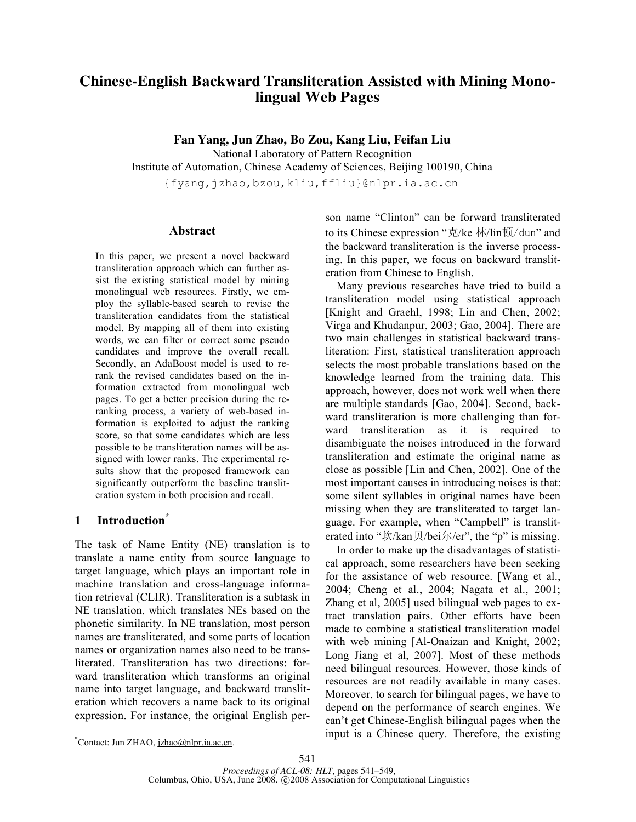# **Chinese-English Backward Transliteration Assisted with Mining Monolingual Web Pages**

**Fan Yang, Jun Zhao, Bo Zou, Kang Liu, Feifan Liu**

National Laboratory of Pattern Recognition Institute of Automation, Chinese Academy of Sciences, Beijing 100190, China

{fyang,jzhao,bzou,kliu,ffliu}@nlpr.ia.ac.cn

# **Abstract**

In this paper, we present a novel backward transliteration approach which can further assist the existing statistical model by mining monolingual web resources. Firstly, we employ the syllable-based search to revise the transliteration candidates from the statistical model. By mapping all of them into existing words, we can filter or correct some pseudo candidates and improve the overall recall. Secondly, an AdaBoost model is used to rerank the revised candidates based on the information extracted from monolingual web pages. To get a better precision during the reranking process, a variety of web-based information is exploited to adjust the ranking score, so that some candidates which are less possible to be transliteration names will be assigned with lower ranks. The experimental results show that the proposed framework can significantly outperform the baseline transliteration system in both precision and recall.

# **1 Introduction\***

The task of Name Entity (NE) translation is to translate a name entity from source language to target language, which plays an important role in machine translation and cross-language information retrieval (CLIR). Transliteration is a subtask in NE translation, which translates NEs based on the phonetic similarity. In NE translation, most person names are transliterated, and some parts of location names or organization names also need to be transliterated. Transliteration has two directions: forward transliteration which transforms an original name into target language, and backward transliteration which recovers a name back to its original expression. For instance, the original English person name "Clinton" can be forward transliterated to its Chinese expression "克/ke 林/lin顿/dun" and the backward transliteration is the inverse processing. In this paper, we focus on backward transliteration from Chinese to English.

Many previous researches have tried to build a transliteration model using statistical approach [Knight and Graehl, 1998; Lin and Chen, 2002; Virga and Khudanpur, 2003; Gao, 2004]. There are two main challenges in statistical backward transliteration: First, statistical transliteration approach selects the most probable translations based on the knowledge learned from the training data. This approach, however, does not work well when there are multiple standards [Gao, 2004]. Second, backward transliteration is more challenging than forward transliteration as it is required to disambiguate the noises introduced in the forward transliteration and estimate the original name as close as possible [Lin and Chen, 2002]. One of the most important causes in introducing noises is that: some silent syllables in original names have been missing when they are transliterated to target language. For example, when "Campbell" is transliterated into "坎/kan贝/bei尔/er", the "p" is missing.

In order to make up the disadvantages of statistical approach, some researchers have been seeking for the assistance of web resource. [Wang et al., 2004; Cheng et al., 2004; Nagata et al., 2001; Zhang et al, 2005] used bilingual web pages to extract translation pairs. Other efforts have been made to combine a statistical transliteration model with web mining [Al-Onaizan and Knight, 2002; Long Jiang et al, 2007]. Most of these methods need bilingual resources. However, those kinds of resources are not readily available in many cases. Moreover, to search for bilingual pages, we have to depend on the performance of search engines. We can't get Chinese-English bilingual pages when the input is a Chinese query. Therefore, the existing

 <sup>\*</sup> \*Contact: Jun ZHAO, jzhao@nlpr.ia.ac.cn.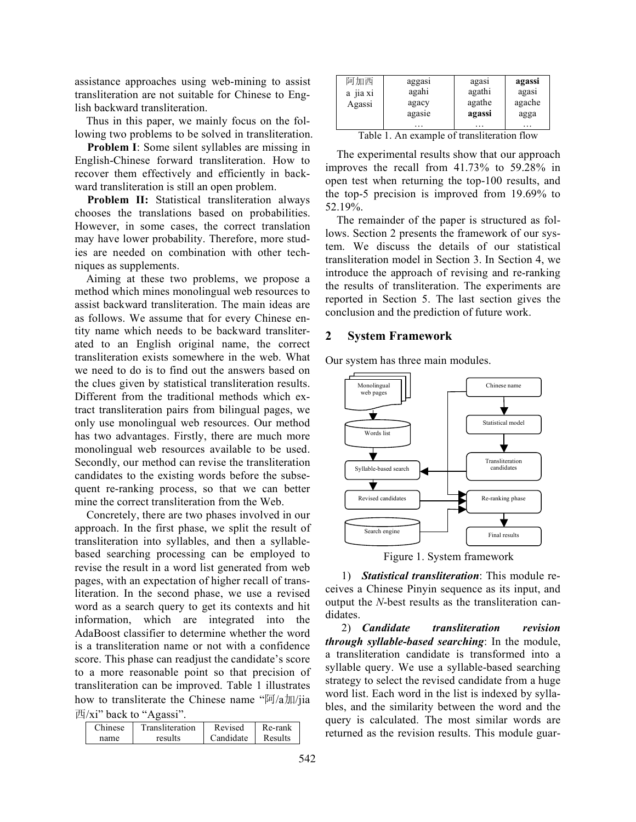assistance approaches using web-mining to assist transliteration are not suitable for Chinese to English backward transliteration.

Thus in this paper, we mainly focus on the following two problems to be solved in transliteration.

**Problem I**: Some silent syllables are missing in English-Chinese forward transliteration. How to recover them effectively and efficiently in backward transliteration is still an open problem.

**Problem II:** Statistical transliteration always chooses the translations based on probabilities. However, in some cases, the correct translation may have lower probability. Therefore, more studies are needed on combination with other techniques as supplements.

Aiming at these two problems, we propose a method which mines monolingual web resources to assist backward transliteration. The main ideas are as follows. We assume that for every Chinese entity name which needs to be backward transliterated to an English original name, the correct transliteration exists somewhere in the web. What we need to do is to find out the answers based on the clues given by statistical transliteration results. Different from the traditional methods which extract transliteration pairs from bilingual pages, we only use monolingual web resources. Our method has two advantages. Firstly, there are much more monolingual web resources available to be used. Secondly, our method can revise the transliteration candidates to the existing words before the subsequent re-ranking process, so that we can better mine the correct transliteration from the Web.

Concretely, there are two phases involved in our approach. In the first phase, we split the result of transliteration into syllables, and then a syllablebased searching processing can be employed to revise the result in a word list generated from web pages, with an expectation of higher recall of transliteration. In the second phase, we use a revised word as a search query to get its contexts and hit information, which are integrated into the AdaBoost classifier to determine whether the word is a transliteration name or not with a confidence score. This phase can readjust the candidate's score to a more reasonable point so that precision of transliteration can be improved. Table 1 illustrates how to transliterate the Chinese name " $\sqrt{q}$  /a $\pi$ ) 西/xi" back to "Agassi".

| Chinese | Transliteration | Revised   | Re-rank |
|---------|-----------------|-----------|---------|
| name    | results         | Candidate | Results |

| 阿加西<br>a 11a x1<br>Agassi | aggasi<br>agahi<br>agacy<br>agasie | agası<br>agathi<br>agathe<br>agassi | agassi<br>agası<br>agache<br>agga |
|---------------------------|------------------------------------|-------------------------------------|-----------------------------------|
|                           |                                    | $\cdots$                            | $\cdots$                          |

Table 1. An example of transliteration flow

The experimental results show that our approach improves the recall from 41.73% to 59.28% in open test when returning the top-100 results, and the top-5 precision is improved from 19.69% to 52.19%.

The remainder of the paper is structured as follows. Section 2 presents the framework of our system. We discuss the details of our statistical transliteration model in Section 3. In Section 4, we introduce the approach of revising and re-ranking the results of transliteration. The experiments are reported in Section 5. The last section gives the conclusion and the prediction of future work.

#### **2 System Framework**

Our system has three main modules.





1) *Statistical transliteration*: This module receives a Chinese Pinyin sequence as its input, and output the *N*-best results as the transliteration candidates.

2) *Candidate transliteration revision through syllable-based searching*: In the module, a transliteration candidate is transformed into a syllable query. We use a syllable-based searching strategy to select the revised candidate from a huge word list. Each word in the list is indexed by syllables, and the similarity between the word and the query is calculated. The most similar words are returned as the revision results. This module guar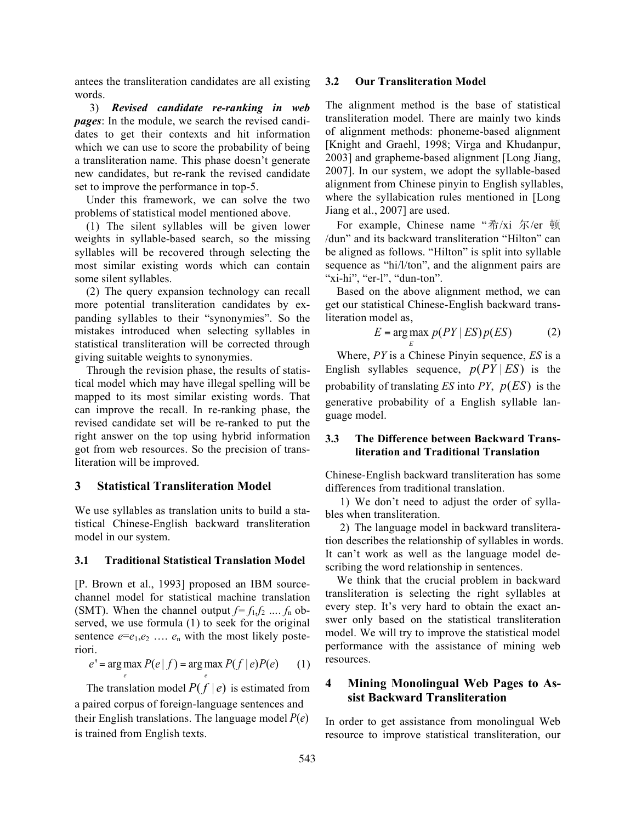antees the transliteration candidates are all existing words.

3) *Revised candidate re-ranking in web pages*: In the module, we search the revised candidates to get their contexts and hit information which we can use to score the probability of being a transliteration name. This phase doesn't generate new candidates, but re-rank the revised candidate set to improve the performance in top-5.

Under this framework, we can solve the two problems of statistical model mentioned above.

(1) The silent syllables will be given lower weights in syllable-based search, so the missing syllables will be recovered through selecting the most similar existing words which can contain some silent syllables.

(2) The query expansion technology can recall more potential transliteration candidates by expanding syllables to their "synonymies". So the mistakes introduced when selecting syllables in statistical transliteration will be corrected through giving suitable weights to synonymies.

Through the revision phase, the results of statistical model which may have illegal spelling will be mapped to its most similar existing words. That can improve the recall. In re-ranking phase, the revised candidate set will be re-ranked to put the right answer on the top using hybrid information got from web resources. So the precision of transliteration will be improved.

## **3 Statistical Transliteration Model**

We use syllables as translation units to build a statistical Chinese-English backward transliteration model in our system.

#### **3.1 Traditional Statistical Translation Model**

[P. Brown et al., 1993] proposed an IBM sourcechannel model for statistical machine translation (SMT). When the channel output  $f=f_1, f_2, ..., f_n$  observed, we use formula (1) to seek for the original sentence  $e = e_1, e_2, \ldots, e_n$  with the most likely posteriori.

$$
e' = \underset{e}{\arg\max} P(e \mid f) = \underset{e}{\arg\max} P(f \mid e)P(e) \tag{1}
$$

The translation model  $P(f | e)$  is estimated from a paired corpus of foreign-language sentences and their English translations. The language model *P*(*e*) is trained from English texts.

#### **3.2 Our Transliteration Model**

The alignment method is the base of statistical transliteration model. There are mainly two kinds of alignment methods: phoneme-based alignment [Knight and Graehl, 1998; Virga and Khudanpur, 2003] and grapheme-based alignment [Long Jiang, 2007]. In our system, we adopt the syllable-based alignment from Chinese pinyin to English syllables, where the syllabication rules mentioned in [Long Jiang et al., 2007] are used.

For example, Chinese name "希/xi 尔/er 顿 /dun" and its backward transliteration "Hilton" can be aligned as follows. "Hilton" is split into syllable sequence as "hi/l/ton", and the alignment pairs are "xi-hi", "er-l", "dun-ton".

Based on the above alignment method, we can get our statistical Chinese-English backward transliteration model as,

$$
E = \arg \max p(PY | ES)p(ES)
$$
 (2)

Where, *PY* is a Chinese Pinyin sequence, *ES* is a English syllables sequence,  $p(PY|ES)$  is the probability of translating *ES* into *PY*, *p*(*ES*) is the generative probability of a English syllable language model.

*E*

# **3.3 The Difference between Backward Transliteration and Traditional Translation**

Chinese-English backward transliteration has some differences from traditional translation.

1) We don't need to adjust the order of syllables when transliteration.

2) The language model in backward transliteration describes the relationship of syllables in words. It can't work as well as the language model describing the word relationship in sentences.

We think that the crucial problem in backward transliteration is selecting the right syllables at every step. It's very hard to obtain the exact answer only based on the statistical transliteration model. We will try to improve the statistical model performance with the assistance of mining web resources.

# **4 Mining Monolingual Web Pages to Assist Backward Transliteration**

In order to get assistance from monolingual Web resource to improve statistical transliteration, our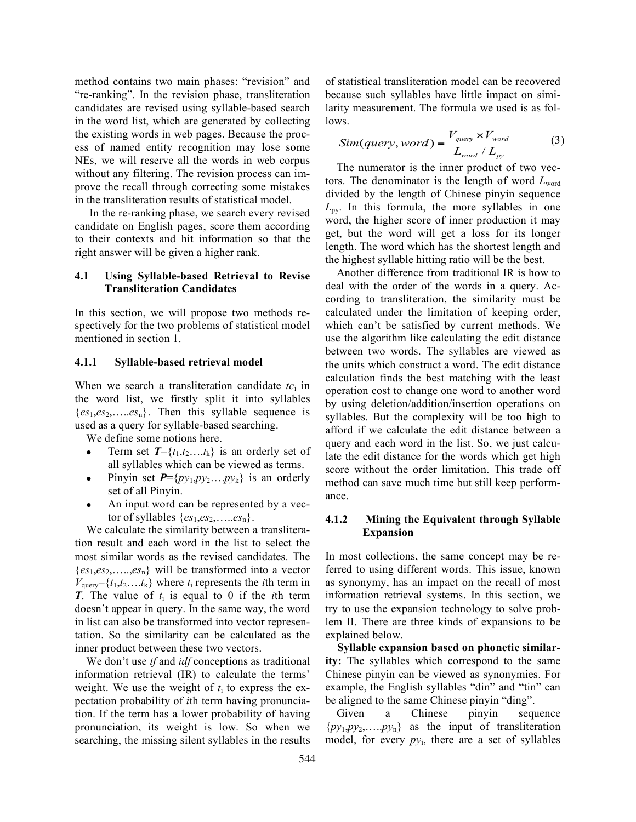method contains two main phases: "revision" and "re-ranking". In the revision phase, transliteration candidates are revised using syllable-based search in the word list, which are generated by collecting the existing words in web pages. Because the process of named entity recognition may lose some NEs, we will reserve all the words in web corpus without any filtering. The revision process can improve the recall through correcting some mistakes in the transliteration results of statistical model.

In the re-ranking phase, we search every revised candidate on English pages, score them according to their contexts and hit information so that the right answer will be given a higher rank.

# **4.1 Using Syllable-based Retrieval to Revise Transliteration Candidates**

In this section, we will propose two methods respectively for the two problems of statistical model mentioned in section 1.

#### **4.1.1 Syllable-based retrieval model**

When we search a transliteration candidate *tc*<sup>i</sup> in the word list, we firstly split it into syllables  ${es_1, es_2, \ldots. es_n}$ . Then this syllable sequence is used as a query for syllable-based searching.

We define some notions here.

- Term set  $T = \{t_1, t_2, \ldots, t_k\}$  is an orderly set of all syllables which can be viewed as terms.
- Pinyin set  $P = \{py_1, py_2, \ldots, py_k\}$  is an orderly set of all Pinyin.
- An input word can be represented by a vector of syllables  $\{es_1, es_2, \ldots. es_n\}$ .

We calculate the similarity between a transliteration result and each word in the list to select the most similar words as the revised candidates. The  ${es_1, es_2, \ldots, es_n}$  will be transformed into a vector  $V_{\text{query}} = \{t_1, t_2, \ldots, t_k\}$  where  $t_i$  represents the *i*th term in *T*. The value of  $t_i$  is equal to 0 if the *i*th term doesn't appear in query. In the same way, the word in list can also be transformed into vector representation. So the similarity can be calculated as the inner product between these two vectors.

We don't use *tf* and *idf* conceptions as traditional information retrieval (IR) to calculate the terms' weight. We use the weight of  $t_i$  to express the expectation probability of *i*th term having pronunciation. If the term has a lower probability of having pronunciation, its weight is low. So when we searching, the missing silent syllables in the results of statistical transliteration model can be recovered because such syllables have little impact on similarity measurement. The formula we used is as follows.

$$
Sim(query, word) = \frac{V_{query} \times V_{word}}{L_{word} / L_{py}}
$$
 (3)

The numerator is the inner product of two vectors. The denominator is the length of word *L*word divided by the length of Chinese pinyin sequence  $L_{\text{pv}}$ . In this formula, the more syllables in one word, the higher score of inner production it may get, but the word will get a loss for its longer length. The word which has the shortest length and the highest syllable hitting ratio will be the best.

Another difference from traditional IR is how to deal with the order of the words in a query. According to transliteration, the similarity must be calculated under the limitation of keeping order, which can't be satisfied by current methods. We use the algorithm like calculating the edit distance between two words. The syllables are viewed as the units which construct a word. The edit distance calculation finds the best matching with the least operation cost to change one word to another word by using deletion/addition/insertion operations on syllables. But the complexity will be too high to afford if we calculate the edit distance between a query and each word in the list. So, we just calculate the edit distance for the words which get high score without the order limitation. This trade off method can save much time but still keep performance.

# **4.1.2 Mining the Equivalent through Syllable Expansion**

In most collections, the same concept may be referred to using different words. This issue, known as synonymy, has an impact on the recall of most information retrieval systems. In this section, we try to use the expansion technology to solve problem II. There are three kinds of expansions to be explained below.

**Syllable expansion based on phonetic similarity:** The syllables which correspond to the same Chinese pinyin can be viewed as synonymies. For example, the English syllables "din" and "tin" can be aligned to the same Chinese pinyin "ding".

Given a Chinese pinyin sequence  $\{py_1, py_2, \ldots, py_n\}$  as the input of transliteration model, for every  $py_i$ , there are a set of syllables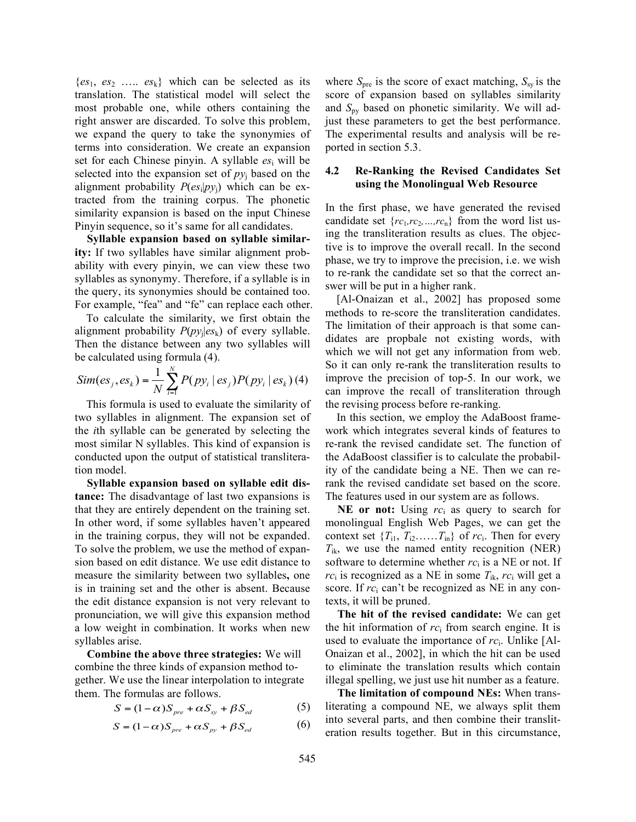${es_1, es_2 \dots, es_k}$  which can be selected as its translation. The statistical model will select the most probable one, while others containing the right answer are discarded. To solve this problem, we expand the query to take the synonymies of terms into consideration. We create an expansion set for each Chinese pinyin. A syllable *es*<sup>i</sup> will be selected into the expansion set of  $py_i$  based on the alignment probability  $P(es_i|py_i)$  which can be extracted from the training corpus. The phonetic similarity expansion is based on the input Chinese Pinyin sequence, so it's same for all candidates.

**Syllable expansion based on syllable similarity:** If two syllables have similar alignment probability with every pinyin, we can view these two syllables as synonymy. Therefore, if a syllable is in the query, its synonymies should be contained too. For example, "fea" and "fe" can replace each other.

To calculate the similarity, we first obtain the alignment probability  $P(py_i|e s_k)$  of every syllable. Then the distance between any two syllables will be calculated using formula (4).

$$
Sim(es_j, es_k) = \frac{1}{N} \sum_{i=1}^{N} P(py_i \mid es_j) P(py_i \mid es_k) \tag{4}
$$

This formula is used to evaluate the similarity of two syllables in alignment. The expansion set of the *i*th syllable can be generated by selecting the most similar N syllables. This kind of expansion is conducted upon the output of statistical transliteration model.

**Syllable expansion based on syllable edit distance:** The disadvantage of last two expansions is that they are entirely dependent on the training set. In other word, if some syllables haven't appeared in the training corpus, they will not be expanded. To solve the problem, we use the method of expansion based on edit distance. We use edit distance to measure the similarity between two syllables**,** one is in training set and the other is absent. Because the edit distance expansion is not very relevant to pronunciation, we will give this expansion method a low weight in combination. It works when new syllables arise.

**Combine the above three strategies:** We will combine the three kinds of expansion method together. We use the linear interpolation to integrate them. The formulas are follows.

$$
S = (1 - \alpha)S_{pre} + \alpha S_{sy} + \beta S_{ed}
$$
 (5)

$$
S = (1 - \alpha)S_{pre} + \alpha S_{py} + \beta S_{ed}
$$
 (6)

where  $S_{\text{pre}}$  is the score of exact matching,  $S_{\text{sy}}$  is the score of expansion based on syllables similarity and *S*py based on phonetic similarity. We will adjust these parameters to get the best performance. The experimental results and analysis will be reported in section 5.3.

## **4.2 Re-Ranking the Revised Candidates Set using the Monolingual Web Resource**

In the first phase, we have generated the revised candidate set  $\{rc_1, rc_2, ..., rc_n\}$  from the word list using the transliteration results as clues. The objective is to improve the overall recall. In the second phase, we try to improve the precision, i.e. we wish to re-rank the candidate set so that the correct answer will be put in a higher rank.

[Al-Onaizan et al., 2002] has proposed some methods to re-score the transliteration candidates. The limitation of their approach is that some candidates are propbale not existing words, with which we will not get any information from web. So it can only re-rank the transliteration results to improve the precision of top-5. In our work, we can improve the recall of transliteration through the revising process before re-ranking.

In this section, we employ the AdaBoost framework which integrates several kinds of features to re-rank the revised candidate set. The function of the AdaBoost classifier is to calculate the probability of the candidate being a NE. Then we can rerank the revised candidate set based on the score. The features used in our system are as follows.

**NE or not:** Using *rc*<sup>i</sup> as query to search for monolingual English Web Pages, we can get the context set  $\{T_{i1}, T_{i2}, \ldots, T_{in}\}$  of  $rc_i$ . Then for every  $T_{ik}$ , we use the named entity recognition (NER) software to determine whether  $rc<sub>i</sub>$  is a NE or not. If  $rc<sub>i</sub>$  is recognized as a NE in some  $T_{ik}$ ,  $rc<sub>i</sub>$  will get a score. If *rc*<sup>i</sup> can't be recognized as NE in any contexts, it will be pruned.

**The hit of the revised candidate:** We can get the hit information of *rc*<sup>i</sup> from search engine. It is used to evaluate the importance of *rc*i. Unlike [Al-Onaizan et al., 2002], in which the hit can be used to eliminate the translation results which contain illegal spelling, we just use hit number as a feature.

**The limitation of compound NEs:** When transliterating a compound NE, we always split them into several parts, and then combine their transliteration results together. But in this circumstance,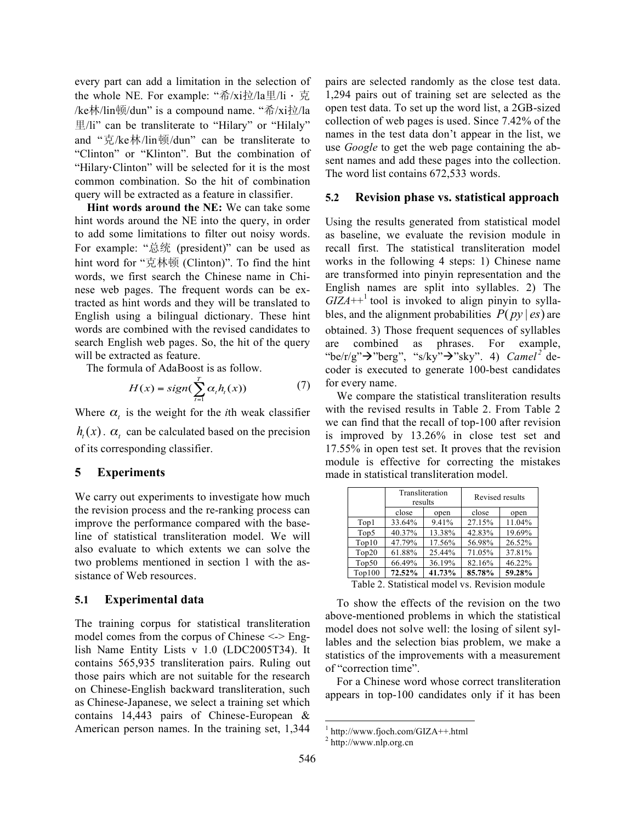every part can add a limitation in the selection of the whole NE. For example: "希/xi拉/la里/li ⋅ 克 /ke林/lin顿/dun" is a compound name. "希/xi拉/la 里/li" can be transliterate to "Hilary" or "Hilaly" and "克/ke林/lin顿/dun" can be transliterate to "Clinton" or "Klinton". But the combination of "Hilary⋅Clinton" will be selected for it is the most common combination. So the hit of combination query will be extracted as a feature in classifier.

**Hint words around the NE:** We can take some hint words around the NE into the query, in order to add some limitations to filter out noisy words. For example: "总统 (president)" can be used as hint word for "克林顿 (Clinton)". To find the hint words, we first search the Chinese name in Chinese web pages. The frequent words can be extracted as hint words and they will be translated to English using a bilingual dictionary. These hint words are combined with the revised candidates to search English web pages. So, the hit of the query will be extracted as feature.

The formula of AdaBoost is as follow.

$$
H(x) = sign(\sum_{t=1}^{T} \alpha_t h_t(x))
$$
 (7)

Where  $\alpha$ <sub>t</sub> is the weight for the *i*th weak classifier  $h_t(x)$ .  $\alpha_t$  can be calculated based on the precision of its corresponding classifier.

## **5 Experiments**

We carry out experiments to investigate how much the revision process and the re-ranking process can improve the performance compared with the baseline of statistical transliteration model. We will also evaluate to which extents we can solve the two problems mentioned in section 1 with the assistance of Web resources.

## **5.1 Experimental data**

The training corpus for statistical transliteration model comes from the corpus of Chinese <-> English Name Entity Lists v 1.0 (LDC2005T34). It contains 565,935 transliteration pairs. Ruling out those pairs which are not suitable for the research on Chinese-English backward transliteration, such as Chinese-Japanese, we select a training set which contains 14,443 pairs of Chinese-European & American person names. In the training set, 1,344 pairs are selected randomly as the close test data. 1,294 pairs out of training set are selected as the open test data. To set up the word list, a 2GB-sized collection of web pages is used. Since 7.42% of the names in the test data don't appear in the list, we use *Google* to get the web page containing the absent names and add these pages into the collection. The word list contains 672,533 words.

#### **5.2 Revision phase vs. statistical approach**

Using the results generated from statistical model as baseline, we evaluate the revision module in recall first. The statistical transliteration model works in the following 4 steps: 1) Chinese name are transformed into pinyin representation and the English names are split into syllables. 2) The  $GIZA++<sup>1</sup>$  tool is invoked to align pinyin to syllables, and the alignment probabilities  $P(py \mid es)$  are obtained. 3) Those frequent sequences of syllables are combined as phrases. For example, "be/r/g" $\rightarrow$ "berg", "s/ky" $\rightarrow$ "sky". 4) *Camel*<sup>2</sup> decoder is executed to generate 100-best candidates for every name.

We compare the statistical transliteration results with the revised results in Table 2. From Table 2 we can find that the recall of top-100 after revision is improved by 13.26% in close test set and 17.55% in open test set. It proves that the revision module is effective for correcting the mistakes made in statistical transliteration model.

|         | results                                   | Transliteration | Revised results |        |  |  |
|---------|-------------------------------------------|-----------------|-----------------|--------|--|--|
|         | close                                     | open            | close           | open   |  |  |
| Top1    | 33.64%                                    | 9.41%           | 27.15%          | 11.04% |  |  |
| Top5    | 40.37%                                    | 13.38%          | 42.83%          | 19.69% |  |  |
| Top10   | 47.79%                                    | 17.56%          | 56.98%          | 26.52% |  |  |
| Top20   | 61.88%                                    | 25.44%          | 71.05%          | 37.81% |  |  |
| Top50   | 66.49%                                    | 36.19%          | 82.16%          | 46.22% |  |  |
| Top100  | 72.52%                                    | 41.73%          | 85.78%          | 59.28% |  |  |
| $-11-2$ | $\sim$ $\sim$ $\sim$ $\sim$ $\sim$ $\sim$ | $\mathbf{1}$    | $\sim$          |        |  |  |

Table 2. Statistical model vs. Revision module

To show the effects of the revision on the two above-mentioned problems in which the statistical model does not solve well: the losing of silent syllables and the selection bias problem, we make a statistics of the improvements with a measurement of "correction time".

For a Chinese word whose correct transliteration appears in top-100 candidates only if it has been

 $\frac{1}{2}$  http://www.fjoch.com/GIZA++.html<br> $\frac{2}{2}$  http://www.nlp.org.cn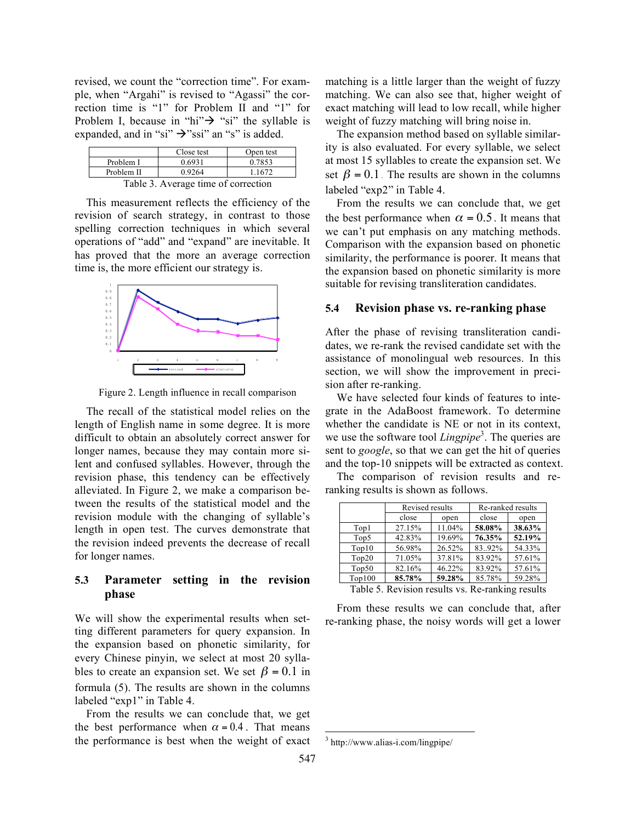revised, we count the "correction time". For example, when "Argahi" is revised to "Agassi" the correction time is "1" for Problem II and "1" for Problem I, because in "hi" $\rightarrow$  "si" the syllable is expanded, and in "si"  $\rightarrow$ "ssi" an "s" is added.

|                                     | Close test | Open test |  |  |  |  |
|-------------------------------------|------------|-----------|--|--|--|--|
| Problem I                           | 0.6931     | 0.7853    |  |  |  |  |
| Problem II                          | 0.9264     | 1.1672    |  |  |  |  |
| Table 3. Average time of correction |            |           |  |  |  |  |

This measurement reflects the efficiency of the revision of search strategy, in contrast to those spelling correction techniques in which several operations of "add" and "expand" are inevitable. It has proved that the more an average correction time is, the more efficient our strategy is.



Figure 2. Length influence in recall comparison

The recall of the statistical model relies on the length of English name in some degree. It is more difficult to obtain an absolutely correct answer for longer names, because they may contain more silent and confused syllables. However, through the revision phase, this tendency can be effectively alleviated. In Figure 2, we make a comparison between the results of the statistical model and the revision module with the changing of syllable's length in open test. The curves demonstrate that the revision indeed prevents the decrease of recall for longer names.

# **5.3 Parameter setting in the revision phase**

We will show the experimental results when setting different parameters for query expansion. In the expansion based on phonetic similarity, for every Chinese pinyin, we select at most 20 syllables to create an expansion set. We set  $\beta = 0.1$  in formula (5). The results are shown in the columns labeled "exp1" in Table 4.

From the results we can conclude that, we get the best performance when  $\alpha = 0.4$ . That means the performance is best when the weight of exact matching is a little larger than the weight of fuzzy matching. We can also see that, higher weight of exact matching will lead to low recall, while higher weight of fuzzy matching will bring noise in.

The expansion method based on syllable similarity is also evaluated. For every syllable, we select at most 15 syllables to create the expansion set. We set  $\beta = 0.1$ . The results are shown in the columns labeled "exp2" in Table 4.

From the results we can conclude that, we get the best performance when  $\alpha = 0.5$ . It means that we can't put emphasis on any matching methods. Comparison with the expansion based on phonetic similarity, the performance is poorer. It means that the expansion based on phonetic similarity is more suitable for revising transliteration candidates.

## **5.4 Revision phase vs. re-ranking phase**

After the phase of revising transliteration candidates, we re-rank the revised candidate set with the assistance of monolingual web resources. In this section, we will show the improvement in precision after re-ranking.

We have selected four kinds of features to integrate in the AdaBoost framework. To determine whether the candidate is NE or not in its context, we use the software tool *Lingpipe* 3 . The queries are sent to *google*, so that we can get the hit of queries and the top-10 snippets will be extracted as context.

The comparison of revision results and reranking results is shown as follows.

|        | Revised results |        | Re-ranked results |        |  |  |
|--------|-----------------|--------|-------------------|--------|--|--|
|        | close           | open   | close             | open   |  |  |
| Top1   | 27.15%          | 11.04% | 58.08%            | 38.63% |  |  |
| Top5   | 42.83%          | 19.69% | 76.35%            | 52.19% |  |  |
| Top10  | 56.98%          | 26.52% | 83.92%            | 54.33% |  |  |
| Top20  | 71.05%          | 37.81% | 83.92%            | 57.61% |  |  |
| Top50  | 82.16%          | 46.22% | 83.92%            | 57.61% |  |  |
| Top100 | 85.78%          | 59.28% | 85.78%            | 59.28% |  |  |

Table 5. Revision results vs. Re-ranking results

From these results we can conclude that, after re-ranking phase, the noisy words will get a lower

 <sup>3</sup> http://www.alias-i.com/lingpipe/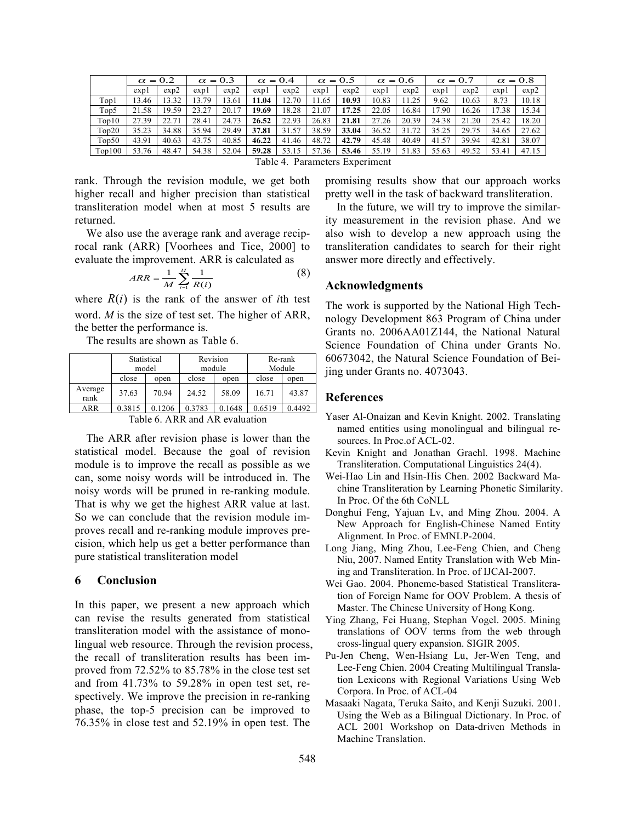|        | $\alpha = 0.2$ |       | $\alpha = 0.3$ |       | $\alpha = 0.4$ |       |       | $\alpha = 0.5$ | $\alpha = 0.6$ |       | $\alpha = 0.7$ |       |       | $\alpha = 0.8$ |
|--------|----------------|-------|----------------|-------|----------------|-------|-------|----------------|----------------|-------|----------------|-------|-------|----------------|
|        | expl           | exp2  | expl           | exp2  | expl           | exp2  | expl  | exp2           | expl           | exp2  | expl           | exp2  | expl  | exp2           |
| Top1   | 13.46          | 13.32 | 13.79          | 13.61 | 11.04          | 12.70 | 11.65 | 10.93          | 10.83          | 1.25  | 9.62           | 10.63 | 8.73  | 10.18          |
| Top5   | 21.58          | 19.59 | 23.27          | 20.17 | 19.69          | 18.28 | 21.07 | 17.25          | 22.05          | 16.84 | 7.90           | 16.26 | 17.38 | 15.34          |
| Top10  | 27.39          | 22.71 | 28.41          | 24.73 | 26.52          | 22.93 | 26.83 | 21.81          | 27.26          | 20.39 | 24.38          | 21.20 | 25.42 | 18.20          |
| Top20  | 35.23          | 34.88 | 35.94          | 29.49 | 37.81          | 31.57 | 38.59 | 33.04          | 36.52          | 31.72 | 35.25          | 29.75 | 34.65 | 27.62          |
| Top50  | 43.91          | 40.63 | 43.75          | 40.85 | 46.22          | 41.46 | 48.72 | 42.79          | 45.48          | 40.49 | 41.57          | 39.94 | 42.81 | 38.07          |
| Top100 | 53.76          | 48.47 | 54.38          | 52.04 | 59.28          | 53.15 | 57.36 | 53.46          | 55.19          | 51.83 | 55.63          | 49.52 | 53.41 | 47.15          |

Table 4. Parameters Experiment

rank. Through the revision module, we get both higher recall and higher precision than statistical transliteration model when at most 5 results are returned.

We also use the average rank and average reciprocal rank (ARR) [Voorhees and Tice, 2000] to evaluate the improvement. ARR is calculated as

$$
ARR = \frac{1}{M} \sum_{i=1}^{M} \frac{1}{R(i)}
$$
 (8)

where  $R(i)$  is the rank of the answer of *i*th test word. *M* is the size of test set. The higher of ARR, the better the performance is.

The results are shown as Table 6.

|                 | Statistical<br>model                      |        | Revision |        | Re-rank<br>Module |        |  |  |  |
|-----------------|-------------------------------------------|--------|----------|--------|-------------------|--------|--|--|--|
|                 |                                           |        |          | module |                   |        |  |  |  |
|                 | close                                     | open   | close    | open   | close             | open   |  |  |  |
| Average<br>rank | 37.63                                     | 70.94  | 24.52    | 58.09  | 16.71             | 43.87  |  |  |  |
| ARR             | 0.3815                                    | 0.1206 | 0.3783   | 0.1648 | 0.6519            | 0.4492 |  |  |  |
|                 | $-11$<br>$\cdots$<br>$\sqrt{2}$<br>$\sim$ |        |          |        |                   |        |  |  |  |

Table 6. ARR and AR evaluation

The ARR after revision phase is lower than the statistical model. Because the goal of revision module is to improve the recall as possible as we can, some noisy words will be introduced in. The noisy words will be pruned in re-ranking module. That is why we get the highest ARR value at last. So we can conclude that the revision module improves recall and re-ranking module improves precision, which help us get a better performance than pure statistical transliteration model

## **6 Conclusion**

In this paper, we present a new approach which can revise the results generated from statistical transliteration model with the assistance of monolingual web resource. Through the revision process, the recall of transliteration results has been improved from 72.52% to 85.78% in the close test set and from 41.73% to 59.28% in open test set, respectively. We improve the precision in re-ranking phase, the top-5 precision can be improved to 76.35% in close test and 52.19% in open test. The

promising results show that our approach works pretty well in the task of backward transliteration.

In the future, we will try to improve the similarity measurement in the revision phase. And we also wish to develop a new approach using the transliteration candidates to search for their right answer more directly and effectively.

# **Acknowledgments**

The work is supported by the National High Technology Development 863 Program of China under Grants no. 2006AA01Z144, the National Natural Science Foundation of China under Grants No. 60673042, the Natural Science Foundation of Beijing under Grants no. 4073043.

#### **References**

- Yaser Al-Onaizan and Kevin Knight. 2002. Translating named entities using monolingual and bilingual resources. In Proc.of ACL-02.
- Kevin Knight and Jonathan Graehl. 1998. Machine Transliteration. Computational Linguistics 24(4).
- Wei-Hao Lin and Hsin-His Chen. 2002 Backward Machine Transliteration by Learning Phonetic Similarity. In Proc. Of the 6th CoNLL
- Donghui Feng, Yajuan Lv, and Ming Zhou. 2004. A New Approach for English-Chinese Named Entity Alignment. In Proc. of EMNLP-2004.
- Long Jiang, Ming Zhou, Lee-Feng Chien, and Cheng Niu, 2007. Named Entity Translation with Web Mining and Transliteration. In Proc. of IJCAI-2007.
- Wei Gao. 2004. Phoneme-based Statistical Transliteration of Foreign Name for OOV Problem. A thesis of Master. The Chinese University of Hong Kong.
- Ying Zhang, Fei Huang, Stephan Vogel. 2005. Mining translations of OOV terms from the web through cross-lingual query expansion. SIGIR 2005.
- Pu-Jen Cheng, Wen-Hsiang Lu, Jer-Wen Teng, and Lee-Feng Chien. 2004 Creating Multilingual Translation Lexicons with Regional Variations Using Web Corpora. In Proc. of ACL-04
- Masaaki Nagata, Teruka Saito, and Kenji Suzuki. 2001. Using the Web as a Bilingual Dictionary. In Proc. of ACL 2001 Workshop on Data-driven Methods in Machine Translation.